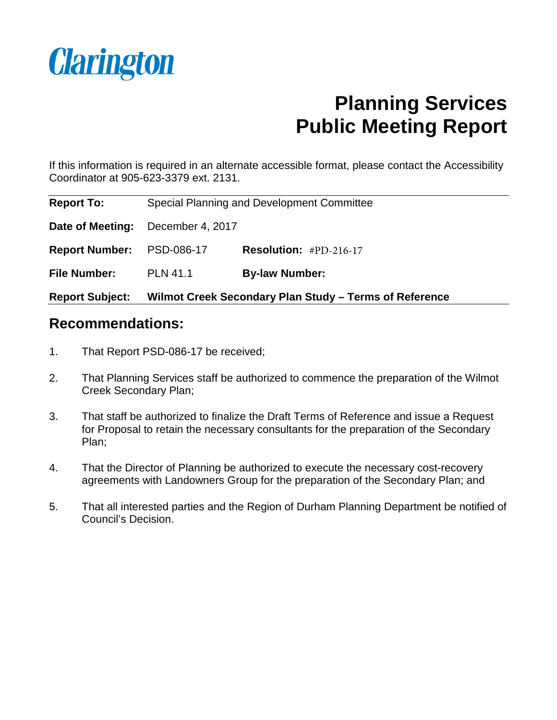

# **Planning Services Public Meeting Report**

If this information is required in an alternate accessible format, please contact the Accessibility Coordinator at 905-623-3379 ext. 2131.

| <b>Report Subject:</b> | Wilmot Creek Secondary Plan Study - Terms of Reference |                                            |  |
|------------------------|--------------------------------------------------------|--------------------------------------------|--|
| <b>File Number:</b>    | <b>PLN 41.1</b>                                        | <b>By-law Number:</b>                      |  |
| <b>Report Number:</b>  | PSD-086-17                                             | <b>Resolution:</b> $#PD-216-17$            |  |
| Date of Meeting:       | December 4, 2017                                       |                                            |  |
| <b>Report To:</b>      |                                                        | Special Planning and Development Committee |  |

### **Recommendations:**

- 1. That Report PSD-086-17 be received;
- 2. That Planning Services staff be authorized to commence the preparation of the Wilmot Creek Secondary Plan;
- 3. That staff be authorized to finalize the Draft Terms of Reference and issue a Request for Proposal to retain the necessary consultants for the preparation of the Secondary Plan;
- 4. That the Director of Planning be authorized to execute the necessary cost-recovery agreements with Landowners Group for the preparation of the Secondary Plan; and
- 5. That all interested parties and the Region of Durham Planning Department be notified of Council's Decision.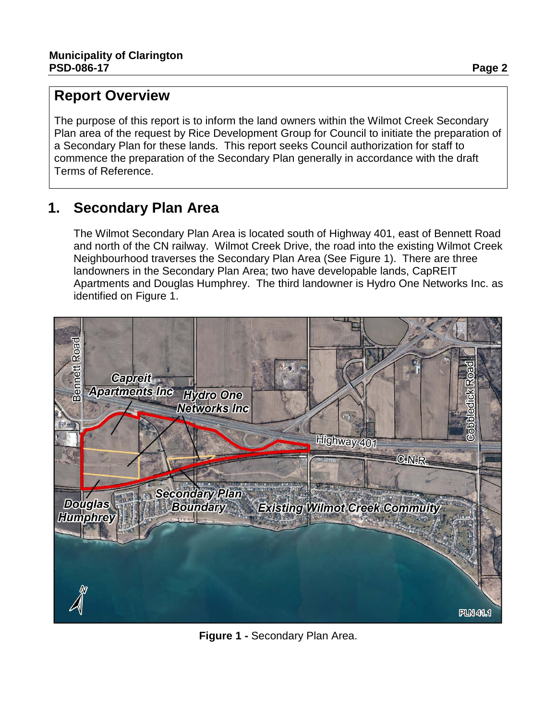### **Report Overview**

The purpose of this report is to inform the land owners within the Wilmot Creek Secondary Plan area of the request by Rice Development Group for Council to initiate the preparation of a Secondary Plan for these lands. This report seeks Council authorization for staff to commence the preparation of the Secondary Plan generally in accordance with the draft Terms of Reference.

### **1. Secondary Plan Area**

The Wilmot Secondary Plan Area is located south of Highway 401, east of Bennett Road and north of the CN railway. Wilmot Creek Drive, the road into the existing Wilmot Creek Neighbourhood traverses the Secondary Plan Area (See Figure 1). There are three landowners in the Secondary Plan Area; two have developable lands, CapREIT Apartments and Douglas Humphrey. The third landowner is Hydro One Networks Inc. as identified on Figure 1.



**Figure 1 -** Secondary Plan Area.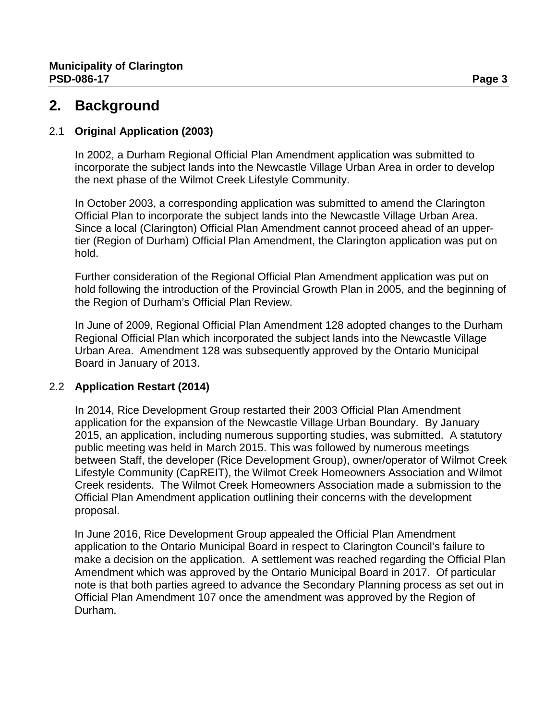### **2. Background**

#### 2.1 **Original Application (2003)**

In 2002, a Durham Regional Official Plan Amendment application was submitted to incorporate the subject lands into the Newcastle Village Urban Area in order to develop the next phase of the Wilmot Creek Lifestyle Community.

In October 2003, a corresponding application was submitted to amend the Clarington Official Plan to incorporate the subject lands into the Newcastle Village Urban Area. Since a local (Clarington) Official Plan Amendment cannot proceed ahead of an uppertier (Region of Durham) Official Plan Amendment, the Clarington application was put on hold.

Further consideration of the Regional Official Plan Amendment application was put on hold following the introduction of the Provincial Growth Plan in 2005, and the beginning of the Region of Durham's Official Plan Review.

In June of 2009, Regional Official Plan Amendment 128 adopted changes to the Durham Regional Official Plan which incorporated the subject lands into the Newcastle Village Urban Area. Amendment 128 was subsequently approved by the Ontario Municipal Board in January of 2013.

#### 2.2 **Application Restart (2014)**

In 2014, Rice Development Group restarted their 2003 Official Plan Amendment application for the expansion of the Newcastle Village Urban Boundary. By January 2015, an application, including numerous supporting studies, was submitted. A statutory public meeting was held in March 2015. This was followed by numerous meetings between Staff, the developer (Rice Development Group), owner/operator of Wilmot Creek Lifestyle Community (CapREIT), the Wilmot Creek Homeowners Association and Wilmot Creek residents. The Wilmot Creek Homeowners Association made a submission to the Official Plan Amendment application outlining their concerns with the development proposal.

In June 2016, Rice Development Group appealed the Official Plan Amendment application to the Ontario Municipal Board in respect to Clarington Council's failure to make a decision on the application. A settlement was reached regarding the Official Plan Amendment which was approved by the Ontario Municipal Board in 2017. Of particular note is that both parties agreed to advance the Secondary Planning process as set out in Official Plan Amendment 107 once the amendment was approved by the Region of Durham.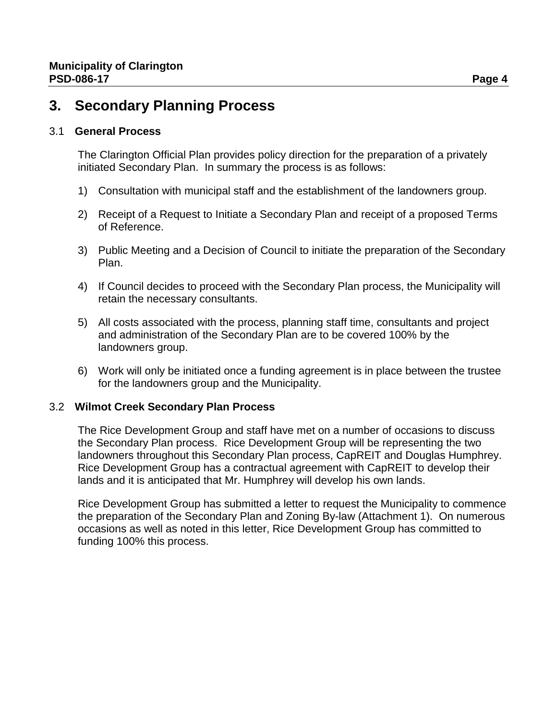### **3. Secondary Planning Process**

#### 3.1 **General Process**

The Clarington Official Plan provides policy direction for the preparation of a privately initiated Secondary Plan. In summary the process is as follows:

- 1) Consultation with municipal staff and the establishment of the landowners group.
- 2) Receipt of a Request to Initiate a Secondary Plan and receipt of a proposed Terms of Reference.
- 3) Public Meeting and a Decision of Council to initiate the preparation of the Secondary Plan.
- 4) If Council decides to proceed with the Secondary Plan process, the Municipality will retain the necessary consultants.
- 5) All costs associated with the process, planning staff time, consultants and project and administration of the Secondary Plan are to be covered 100% by the landowners group.
- 6) Work will only be initiated once a funding agreement is in place between the trustee for the landowners group and the Municipality.

#### 3.2 **Wilmot Creek Secondary Plan Process**

The Rice Development Group and staff have met on a number of occasions to discuss the Secondary Plan process. Rice Development Group will be representing the two landowners throughout this Secondary Plan process, CapREIT and Douglas Humphrey. Rice Development Group has a contractual agreement with CapREIT to develop their lands and it is anticipated that Mr. Humphrey will develop his own lands.

Rice Development Group has submitted a letter to request the Municipality to commence the preparation of the Secondary Plan and Zoning By-law (Attachment 1). On numerous occasions as well as noted in this letter, Rice Development Group has committed to funding 100% this process.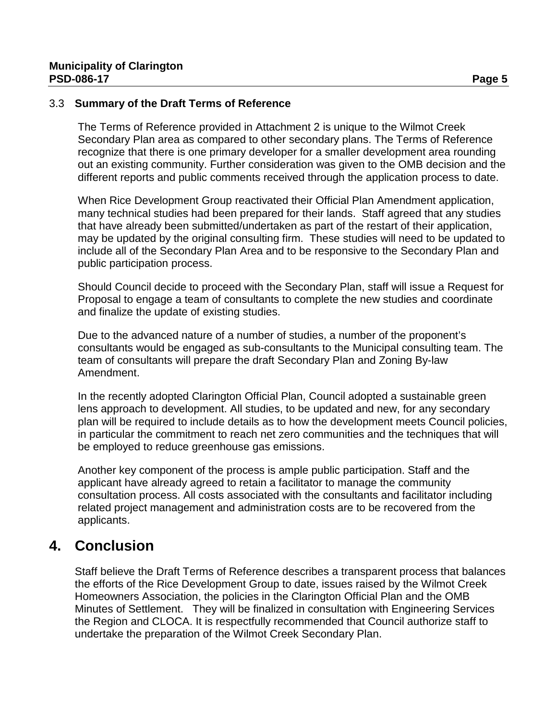#### 3.3 **Summary of the Draft Terms of Reference**

The Terms of Reference provided in Attachment 2 is unique to the Wilmot Creek Secondary Plan area as compared to other secondary plans. The Terms of Reference recognize that there is one primary developer for a smaller development area rounding out an existing community. Further consideration was given to the OMB decision and the different reports and public comments received through the application process to date.

When Rice Development Group reactivated their Official Plan Amendment application, many technical studies had been prepared for their lands. Staff agreed that any studies that have already been submitted/undertaken as part of the restart of their application, may be updated by the original consulting firm. These studies will need to be updated to include all of the Secondary Plan Area and to be responsive to the Secondary Plan and public participation process.

Should Council decide to proceed with the Secondary Plan, staff will issue a Request for Proposal to engage a team of consultants to complete the new studies and coordinate and finalize the update of existing studies.

Due to the advanced nature of a number of studies, a number of the proponent's consultants would be engaged as sub-consultants to the Municipal consulting team. The team of consultants will prepare the draft Secondary Plan and Zoning By-law Amendment.

In the recently adopted Clarington Official Plan, Council adopted a sustainable green lens approach to development. All studies, to be updated and new, for any secondary plan will be required to include details as to how the development meets Council policies, in particular the commitment to reach net zero communities and the techniques that will be employed to reduce greenhouse gas emissions.

Another key component of the process is ample public participation. Staff and the applicant have already agreed to retain a facilitator to manage the community consultation process. All costs associated with the consultants and facilitator including related project management and administration costs are to be recovered from the applicants.

### **4. Conclusion**

Staff believe the Draft Terms of Reference describes a transparent process that balances the efforts of the Rice Development Group to date, issues raised by the Wilmot Creek Homeowners Association, the policies in the Clarington Official Plan and the OMB Minutes of Settlement. They will be finalized in consultation with Engineering Services the Region and CLOCA. It is respectfully recommended that Council authorize staff to undertake the preparation of the Wilmot Creek Secondary Plan.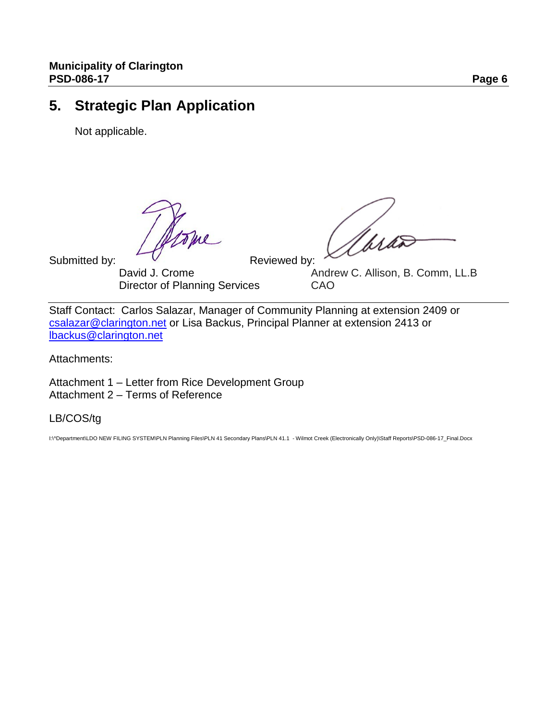### **5. Strategic Plan Application**

Not applicable.

Submitted by:  $V$ <br>David J. Crome Reviewed by: Director of Planning Services

Andrew C. Allison, B. Comm, LL.B<br>CAO

Staff Contact: Carlos Salazar, Manager of Community Planning at extension 2409 or [csalazar@clarington.net](mailto:csalazar@clarington.net) or Lisa Backus, Principal Planner at extension 2413 or [lbackus@clarington.net](mailto:lbackus@clarington.net)

Attachments:

Attachment 1 – Letter from Rice Development Group Attachment 2 – Terms of Reference

LB/COS/tg

I:\^Department\LDO NEW FILING SYSTEM\PLN Planning Files\PLN 41 Secondary Plans\PLN 41.1 - Wilmot Creek (Electronically Only)\Staff Reports\PSD-086-17\_Final.Docx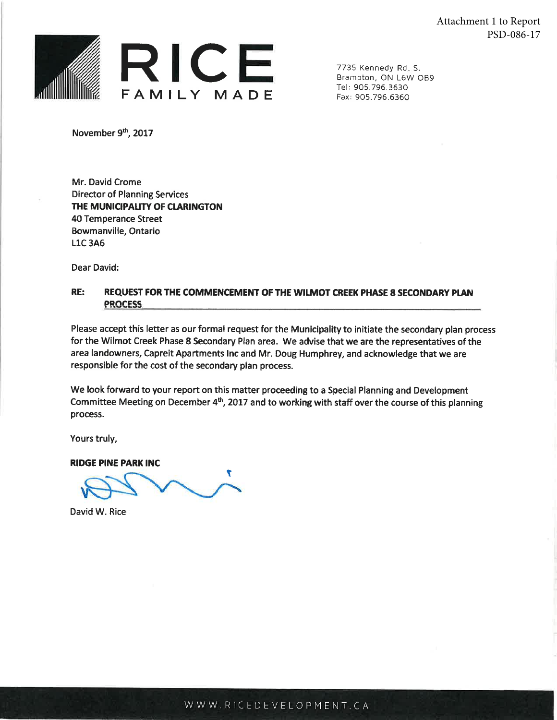Attachment 1 to Report PSD-086-17



7735 Kennedy Rd. S. Brampton, ON L6W OB9 Tel: 905.796.3630 Fax: 905.796.6360

November 9th, 2017

Mr. David Crome **Director of Planning Services** THE MUNICIPALITY OF CLARINGTON 40 Temperance Street Bowmanville, Ontario **L1C3A6** 

Dear David:

#### RE: REQUEST FOR THE COMMENCEMENT OF THE WILMOT CREEK PHASE 8 SECONDARY PLAN **PROCESS**

Please accept this letter as our formal request for the Municipality to initiate the secondary plan process for the Wilmot Creek Phase 8 Secondary Plan area. We advise that we are the representatives of the area landowners, Capreit Apartments Inc and Mr. Doug Humphrey, and acknowledge that we are responsible for the cost of the secondary plan process.

We look forward to your report on this matter proceeding to a Special Planning and Development Committee Meeting on December 4<sup>th</sup>, 2017 and to working with staff over the course of this planning process.

Yours truly,

**RIDGE PINE PARK INC** 

David W. Rice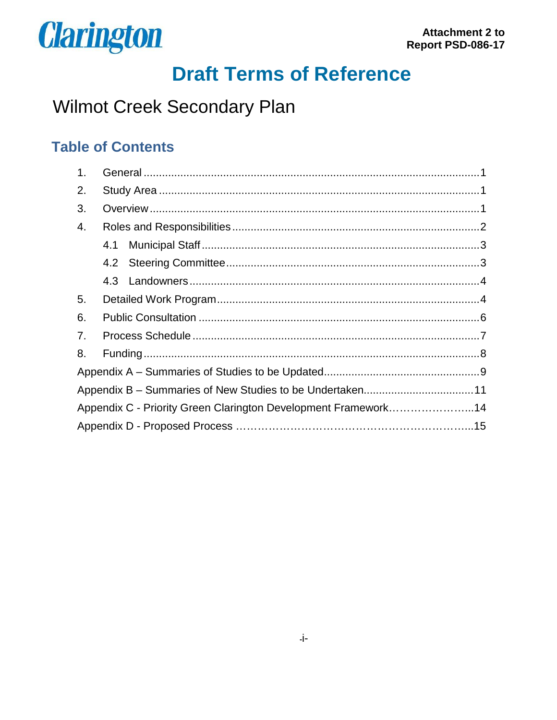

# **Draft Terms of Reference**

## Wilmot Creek Secondary Plan

### **Table of Contents**

| 1 <sub>1</sub> |  |                                                                |  |
|----------------|--|----------------------------------------------------------------|--|
| 2.             |  |                                                                |  |
| 3.             |  |                                                                |  |
| 4.             |  |                                                                |  |
|                |  |                                                                |  |
|                |  |                                                                |  |
|                |  |                                                                |  |
| 5.             |  |                                                                |  |
| 6.             |  |                                                                |  |
| 7.             |  |                                                                |  |
| 8.             |  |                                                                |  |
|                |  |                                                                |  |
|                |  |                                                                |  |
|                |  | Appendix C - Priority Green Clarington Development Framework14 |  |
|                |  |                                                                |  |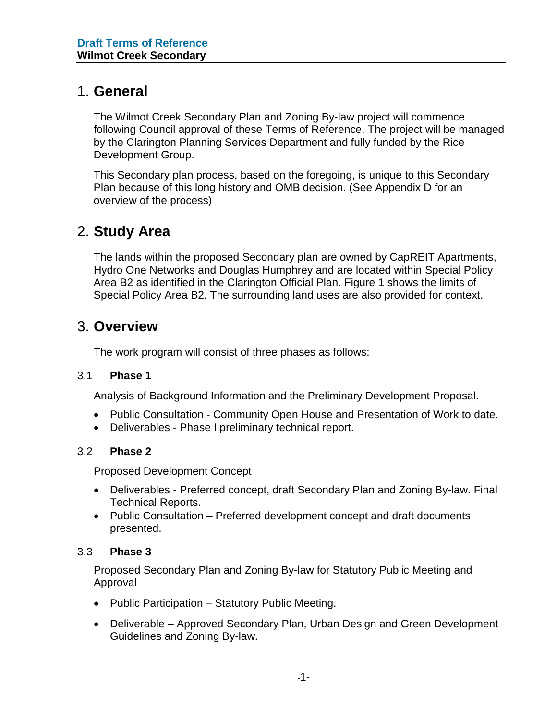### 1. **General**

The Wilmot Creek Secondary Plan and Zoning By-law project will commence following Council approval of these Terms of Reference. The project will be managed by the Clarington Planning Services Department and fully funded by the Rice Development Group.

This Secondary plan process, based on the foregoing, is unique to this Secondary Plan because of this long history and OMB decision. (See Appendix D for an overview of the process)

### 2. **Study Area**

The lands within the proposed Secondary plan are owned by CapREIT Apartments, Hydro One Networks and Douglas Humphrey and are located within Special Policy Area B2 as identified in the Clarington Official Plan. Figure 1 shows the limits of Special Policy Area B2. The surrounding land uses are also provided for context.

### 3. **Overview**

The work program will consist of three phases as follows:

#### 3.1 **Phase 1**

Analysis of Background Information and the Preliminary Development Proposal.

- Public Consultation Community Open House and Presentation of Work to date.
- Deliverables Phase I preliminary technical report.

#### 3.2 **Phase 2**

Proposed Development Concept

- Deliverables Preferred concept, draft Secondary Plan and Zoning By-law. Final Technical Reports.
- Public Consultation Preferred development concept and draft documents presented.

#### 3.3 **Phase 3**

Proposed Secondary Plan and Zoning By-law for Statutory Public Meeting and Approval

- Public Participation Statutory Public Meeting.
- Deliverable Approved Secondary Plan, Urban Design and Green Development Guidelines and Zoning By-law.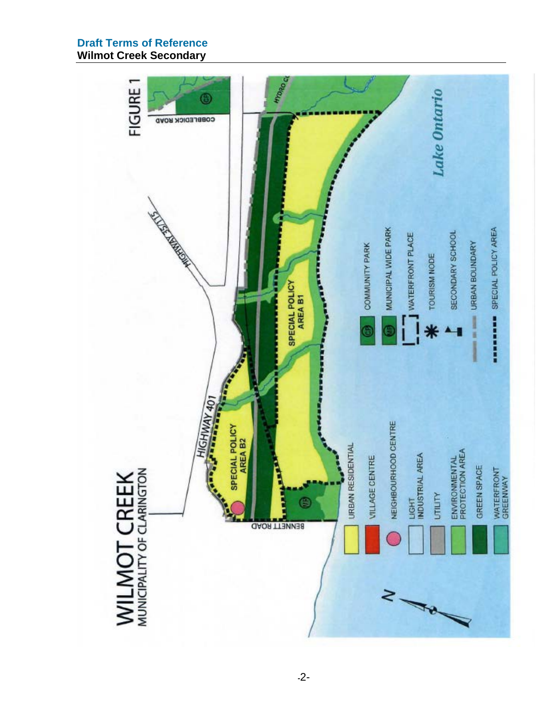#### **Draft Terms of Reference Wilmot Creek Secondary**

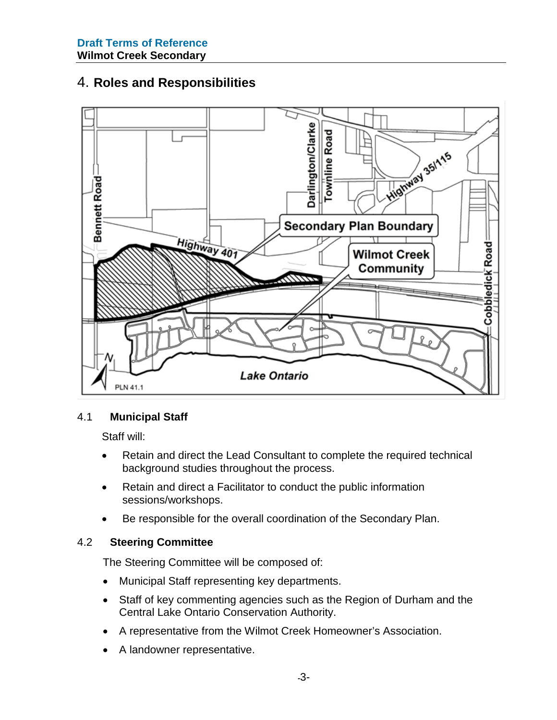### 4. **Roles and Responsibilities**



#### 4.1 **Municipal Staff**

Staff will:

- Retain and direct the Lead Consultant to complete the required technical background studies throughout the process.
- Retain and direct a Facilitator to conduct the public information sessions/workshops.
- Be responsible for the overall coordination of the Secondary Plan.

#### 4.2 **Steering Committee**

The Steering Committee will be composed of:

- Municipal Staff representing key departments.
- Staff of key commenting agencies such as the Region of Durham and the Central Lake Ontario Conservation Authority.
- A representative from the Wilmot Creek Homeowner's Association.
- A landowner representative.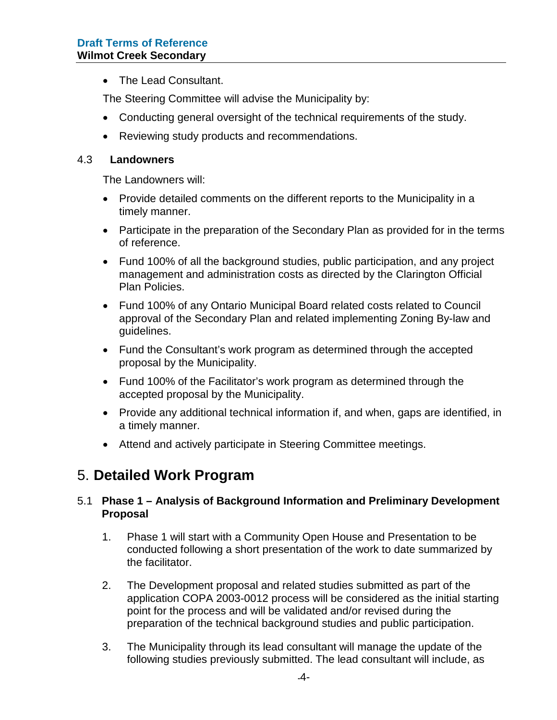• The Lead Consultant.

The Steering Committee will advise the Municipality by:

- Conducting general oversight of the technical requirements of the study.
- Reviewing study products and recommendations.

#### 4.3 **Landowners**

The Landowners will:

- Provide detailed comments on the different reports to the Municipality in a timely manner.
- Participate in the preparation of the Secondary Plan as provided for in the terms of reference.
- Fund 100% of all the background studies, public participation, and any project management and administration costs as directed by the Clarington Official Plan Policies.
- Fund 100% of any Ontario Municipal Board related costs related to Council approval of the Secondary Plan and related implementing Zoning By-law and guidelines.
- Fund the Consultant's work program as determined through the accepted proposal by the Municipality.
- Fund 100% of the Facilitator's work program as determined through the accepted proposal by the Municipality.
- Provide any additional technical information if, and when, gaps are identified, in a timely manner.
- Attend and actively participate in Steering Committee meetings.

### 5. **Detailed Work Program**

#### 5.1 **Phase 1 – Analysis of Background Information and Preliminary Development Proposal**

- 1. Phase 1 will start with a Community Open House and Presentation to be conducted following a short presentation of the work to date summarized by the facilitator.
- 2. The Development proposal and related studies submitted as part of the application COPA 2003-0012 process will be considered as the initial starting point for the process and will be validated and/or revised during the preparation of the technical background studies and public participation.
- 3. The Municipality through its lead consultant will manage the update of the following studies previously submitted. The lead consultant will include, as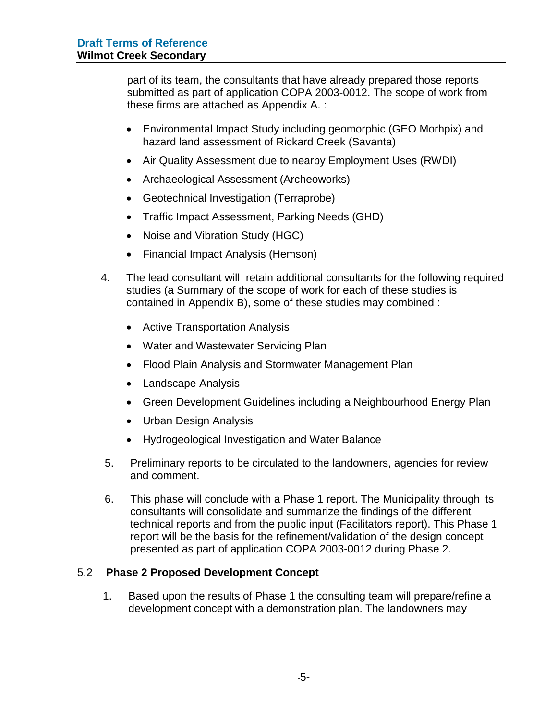part of its team, the consultants that have already prepared those reports submitted as part of application COPA 2003-0012. The scope of work from these firms are attached as Appendix A. :

- Environmental Impact Study including geomorphic (GEO Morhpix) and hazard land assessment of Rickard Creek (Savanta)
- Air Quality Assessment due to nearby Employment Uses (RWDI)
- Archaeological Assessment (Archeoworks)
- Geotechnical Investigation (Terraprobe)
- Traffic Impact Assessment, Parking Needs (GHD)
- Noise and Vibration Study (HGC)
- Financial Impact Analysis (Hemson)
- 4. The lead consultant will retain additional consultants for the following required studies (a Summary of the scope of work for each of these studies is contained in Appendix B), some of these studies may combined :
	- Active Transportation Analysis
	- Water and Wastewater Servicing Plan
	- Flood Plain Analysis and Stormwater Management Plan
	- Landscape Analysis
	- Green Development Guidelines including a Neighbourhood Energy Plan
	- Urban Design Analysis
	- Hydrogeological Investigation and Water Balance
- 5. Preliminary reports to be circulated to the landowners, agencies for review and comment.
- 6. This phase will conclude with a Phase 1 report. The Municipality through its consultants will consolidate and summarize the findings of the different technical reports and from the public input (Facilitators report). This Phase 1 report will be the basis for the refinement/validation of the design concept presented as part of application COPA 2003-0012 during Phase 2.

#### 5.2 **Phase 2 Proposed Development Concept**

1. Based upon the results of Phase 1 the consulting team will prepare/refine a development concept with a demonstration plan. The landowners may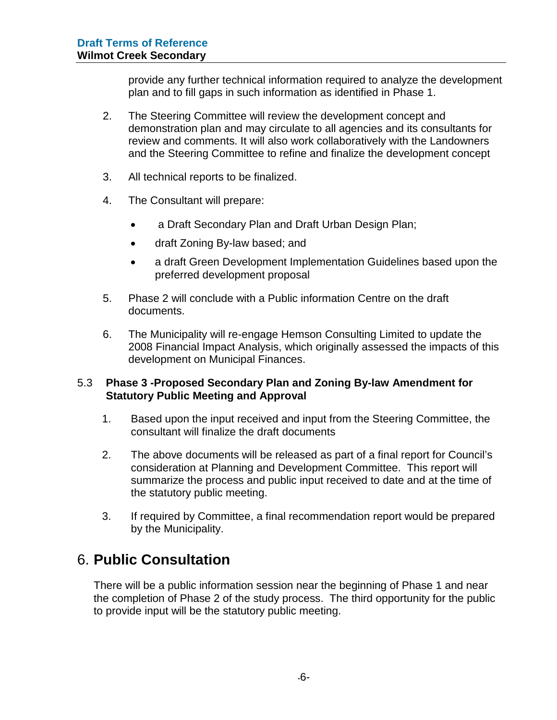provide any further technical information required to analyze the development plan and to fill gaps in such information as identified in Phase 1.

- 2. The Steering Committee will review the development concept and demonstration plan and may circulate to all agencies and its consultants for review and comments. It will also work collaboratively with the Landowners and the Steering Committee to refine and finalize the development concept
- 3. All technical reports to be finalized.
- 4. The Consultant will prepare:
	- a Draft Secondary Plan and Draft Urban Design Plan;
	- draft Zoning By-law based; and
	- a draft Green Development Implementation Guidelines based upon the preferred development proposal
- 5. Phase 2 will conclude with a Public information Centre on the draft documents.
- 6. The Municipality will re-engage Hemson Consulting Limited to update the 2008 Financial Impact Analysis, which originally assessed the impacts of this development on Municipal Finances.

#### 5.3 **Phase 3 -Proposed Secondary Plan and Zoning By-law Amendment for Statutory Public Meeting and Approval**

- 1. Based upon the input received and input from the Steering Committee, the consultant will finalize the draft documents
- 2. The above documents will be released as part of a final report for Council's consideration at Planning and Development Committee. This report will summarize the process and public input received to date and at the time of the statutory public meeting.
- 3. If required by Committee, a final recommendation report would be prepared by the Municipality.

### 6. **Public Consultation**

There will be a public information session near the beginning of Phase 1 and near the completion of Phase 2 of the study process. The third opportunity for the public to provide input will be the statutory public meeting.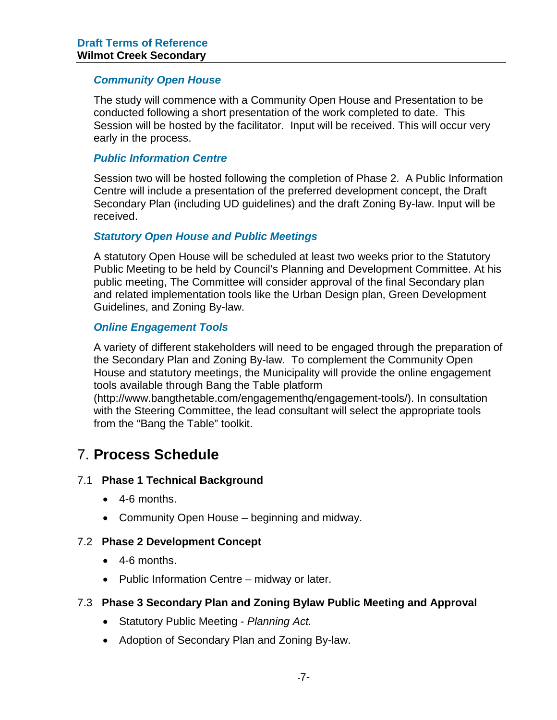#### *Community Open House*

The study will commence with a Community Open House and Presentation to be conducted following a short presentation of the work completed to date. This Session will be hosted by the facilitator. Input will be received. This will occur very early in the process.

#### *Public Information Centre*

Session two will be hosted following the completion of Phase 2. A Public Information Centre will include a presentation of the preferred development concept, the Draft Secondary Plan (including UD guidelines) and the draft Zoning By-law. Input will be received.

#### *Statutory Open House and Public Meetings*

A statutory Open House will be scheduled at least two weeks prior to the Statutory Public Meeting to be held by Council's Planning and Development Committee. At his public meeting, The Committee will consider approval of the final Secondary plan and related implementation tools like the Urban Design plan, Green Development Guidelines, and Zoning By-law.

#### *Online Engagement Tools*

A variety of different stakeholders will need to be engaged through the preparation of the Secondary Plan and Zoning By-law. To complement the Community Open House and statutory meetings, the Municipality will provide the online engagement tools available through Bang the Table platform

(http://www.bangthetable.com/engagementhq/engagement-tools/). In consultation with the Steering Committee, the lead consultant will select the appropriate tools from the "Bang the Table" toolkit.

### 7. **Process Schedule**

#### 7.1 **Phase 1 Technical Background**

- 4-6 months.
- Community Open House beginning and midway.

#### 7.2 **Phase 2 Development Concept**

- 4-6 months.
- Public Information Centre midway or later.

#### 7.3 **Phase 3 Secondary Plan and Zoning Bylaw Public Meeting and Approval**

- Statutory Public Meeting *Planning Act.*
- Adoption of Secondary Plan and Zoning By-law.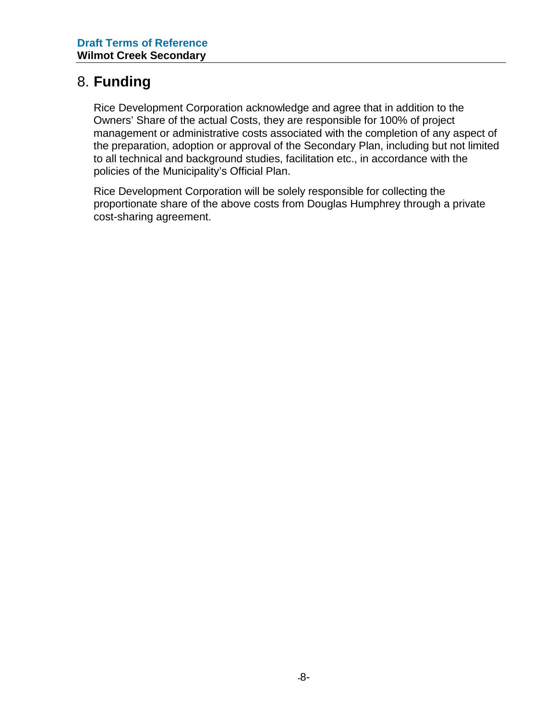### 8. **Funding**

Rice Development Corporation acknowledge and agree that in addition to the Owners' Share of the actual Costs, they are responsible for 100% of project management or administrative costs associated with the completion of any aspect of the preparation, adoption or approval of the Secondary Plan, including but not limited to all technical and background studies, facilitation etc., in accordance with the policies of the Municipality's Official Plan.

Rice Development Corporation will be solely responsible for collecting the proportionate share of the above costs from Douglas Humphrey through a private cost-sharing agreement.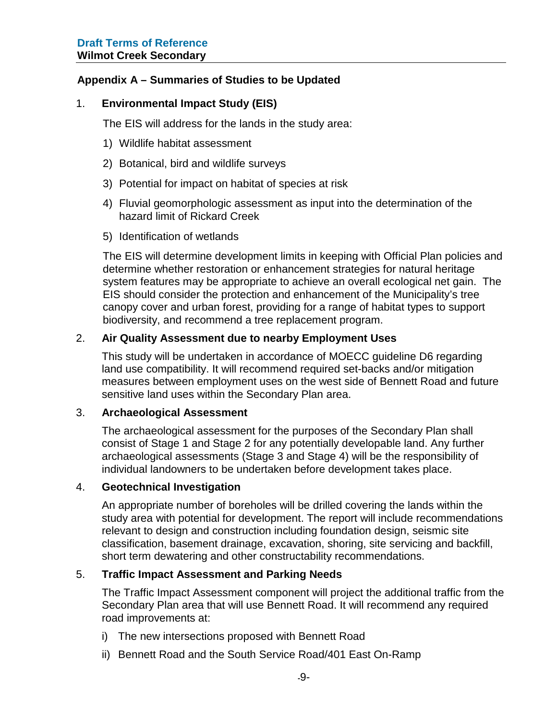#### **Appendix A – Summaries of Studies to be Updated**

#### 1. **Environmental Impact Study (EIS)**

The EIS will address for the lands in the study area:

- 1) Wildlife habitat assessment
- 2) Botanical, bird and wildlife surveys
- 3) Potential for impact on habitat of species at risk
- 4) Fluvial geomorphologic assessment as input into the determination of the hazard limit of Rickard Creek
- 5) Identification of wetlands

The EIS will determine development limits in keeping with Official Plan policies and determine whether restoration or enhancement strategies for natural heritage system features may be appropriate to achieve an overall ecological net gain. The EIS should consider the protection and enhancement of the Municipality's tree canopy cover and urban forest, providing for a range of habitat types to support biodiversity, and recommend a tree replacement program.

#### 2. **Air Quality Assessment due to nearby Employment Uses**

This study will be undertaken in accordance of MOECC guideline D6 regarding land use compatibility. It will recommend required set-backs and/or mitigation measures between employment uses on the west side of Bennett Road and future sensitive land uses within the Secondary Plan area.

#### 3. **Archaeological Assessment**

The archaeological assessment for the purposes of the Secondary Plan shall consist of Stage 1 and Stage 2 for any potentially developable land. Any further archaeological assessments (Stage 3 and Stage 4) will be the responsibility of individual landowners to be undertaken before development takes place.

#### 4. **Geotechnical Investigation**

An appropriate number of boreholes will be drilled covering the lands within the study area with potential for development. The report will include recommendations relevant to design and construction including foundation design, seismic site classification, basement drainage, excavation, shoring, site servicing and backfill, short term dewatering and other constructability recommendations.

#### 5. **Traffic Impact Assessment and Parking Needs**

The Traffic Impact Assessment component will project the additional traffic from the Secondary Plan area that will use Bennett Road. It will recommend any required road improvements at:

- i) The new intersections proposed with Bennett Road
- ii) Bennett Road and the South Service Road/401 East On-Ramp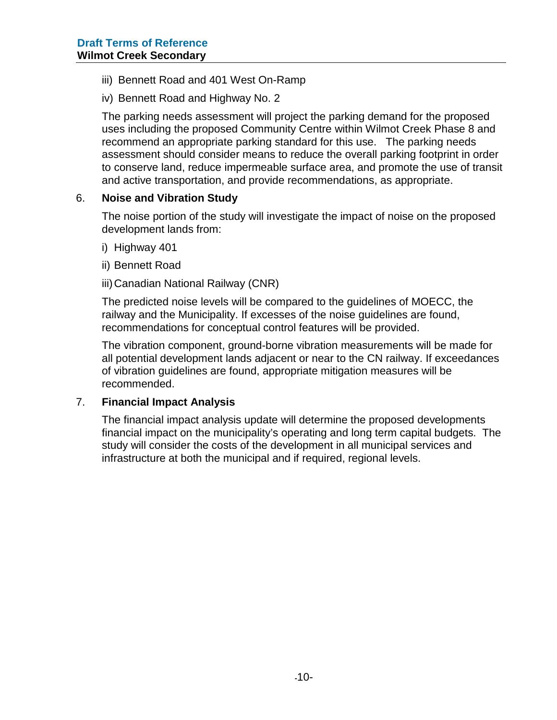- iii) Bennett Road and 401 West On-Ramp
- iv) Bennett Road and Highway No. 2

The parking needs assessment will project the parking demand for the proposed uses including the proposed Community Centre within Wilmot Creek Phase 8 and recommend an appropriate parking standard for this use. The parking needs assessment should consider means to reduce the overall parking footprint in order to conserve land, reduce impermeable surface area, and promote the use of transit and active transportation, and provide recommendations, as appropriate.

#### 6. **Noise and Vibration Study**

The noise portion of the study will investigate the impact of noise on the proposed development lands from:

- i) Highway 401
- ii) Bennett Road
- iii)Canadian National Railway (CNR)

The predicted noise levels will be compared to the guidelines of MOECC, the railway and the Municipality. If excesses of the noise guidelines are found, recommendations for conceptual control features will be provided.

The vibration component, ground-borne vibration measurements will be made for all potential development lands adjacent or near to the CN railway. If exceedances of vibration guidelines are found, appropriate mitigation measures will be recommended.

#### 7. **Financial Impact Analysis**

The financial impact analysis update will determine the proposed developments financial impact on the municipality's operating and long term capital budgets. The study will consider the costs of the development in all municipal services and infrastructure at both the municipal and if required, regional levels.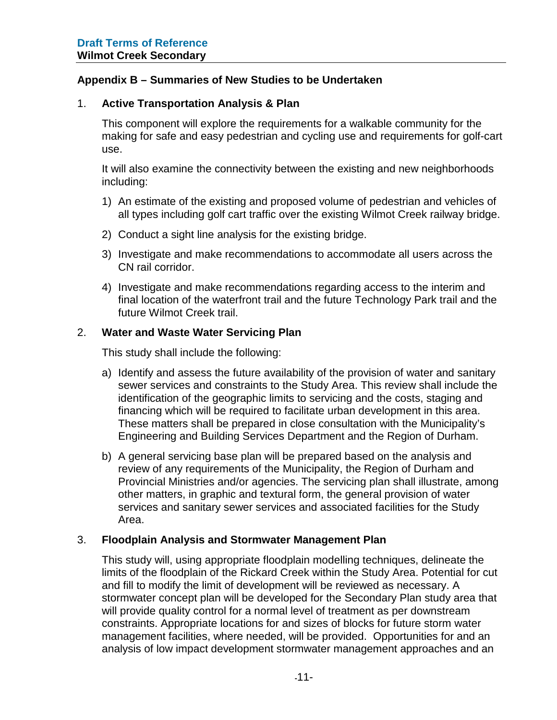#### **Appendix B – Summaries of New Studies to be Undertaken**

#### 1. **Active Transportation Analysis & Plan**

This component will explore the requirements for a walkable community for the making for safe and easy pedestrian and cycling use and requirements for golf-cart use.

It will also examine the connectivity between the existing and new neighborhoods including:

- 1) An estimate of the existing and proposed volume of pedestrian and vehicles of all types including golf cart traffic over the existing Wilmot Creek railway bridge.
- 2) Conduct a sight line analysis for the existing bridge.
- 3) Investigate and make recommendations to accommodate all users across the CN rail corridor.
- 4) Investigate and make recommendations regarding access to the interim and final location of the waterfront trail and the future Technology Park trail and the future Wilmot Creek trail.

#### 2. **Water and Waste Water Servicing Plan**

This study shall include the following:

- a) Identify and assess the future availability of the provision of water and sanitary sewer services and constraints to the Study Area. This review shall include the identification of the geographic limits to servicing and the costs, staging and financing which will be required to facilitate urban development in this area. These matters shall be prepared in close consultation with the Municipality's Engineering and Building Services Department and the Region of Durham.
- b) A general servicing base plan will be prepared based on the analysis and review of any requirements of the Municipality, the Region of Durham and Provincial Ministries and/or agencies. The servicing plan shall illustrate, among other matters, in graphic and textural form, the general provision of water services and sanitary sewer services and associated facilities for the Study Area.

#### 3. **Floodplain Analysis and Stormwater Management Plan**

This study will, using appropriate floodplain modelling techniques, delineate the limits of the floodplain of the Rickard Creek within the Study Area. Potential for cut and fill to modify the limit of development will be reviewed as necessary. A stormwater concept plan will be developed for the Secondary Plan study area that will provide quality control for a normal level of treatment as per downstream constraints. Appropriate locations for and sizes of blocks for future storm water management facilities, where needed, will be provided. Opportunities for and an analysis of low impact development stormwater management approaches and an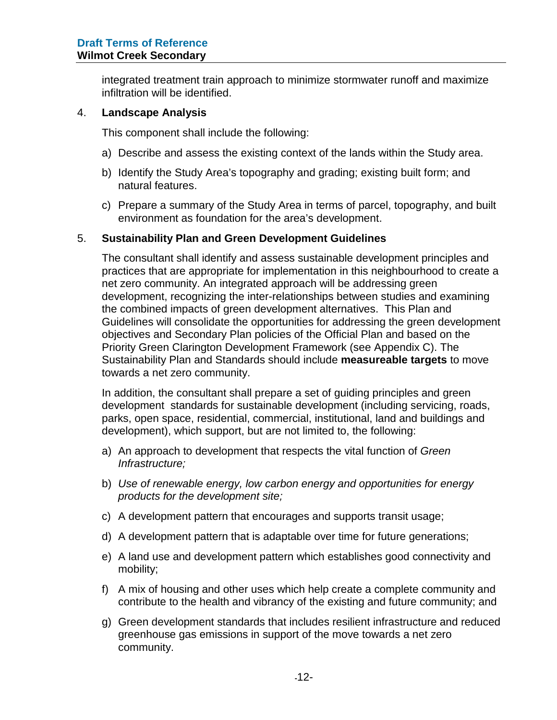integrated treatment train approach to minimize stormwater runoff and maximize infiltration will be identified.

#### 4. **Landscape Analysis**

This component shall include the following:

- a) Describe and assess the existing context of the lands within the Study area.
- b) Identify the Study Area's topography and grading; existing built form; and natural features.
- c) Prepare a summary of the Study Area in terms of parcel, topography, and built environment as foundation for the area's development.

#### 5. **Sustainability Plan and Green Development Guidelines**

The consultant shall identify and assess sustainable development principles and practices that are appropriate for implementation in this neighbourhood to create a net zero community. An integrated approach will be addressing green development, recognizing the inter-relationships between studies and examining the combined impacts of green development alternatives. This Plan and Guidelines will consolidate the opportunities for addressing the green development objectives and Secondary Plan policies of the Official Plan and based on the Priority Green Clarington Development Framework (see Appendix C). The Sustainability Plan and Standards should include **measureable targets** to move towards a net zero community.

In addition, the consultant shall prepare a set of guiding principles and green development standards for sustainable development (including servicing, roads, parks, open space, residential, commercial, institutional, land and buildings and development), which support, but are not limited to, the following:

- a) An approach to development that respects the vital function of *Green Infrastructure;*
- b) *Use of renewable energy, low carbon energy and opportunities for energy products for the development site;*
- c) A development pattern that encourages and supports transit usage;
- d) A development pattern that is adaptable over time for future generations;
- e) A land use and development pattern which establishes good connectivity and mobility;
- f) A mix of housing and other uses which help create a complete community and contribute to the health and vibrancy of the existing and future community; and
- g) Green development standards that includes resilient infrastructure and reduced greenhouse gas emissions in support of the move towards a net zero community.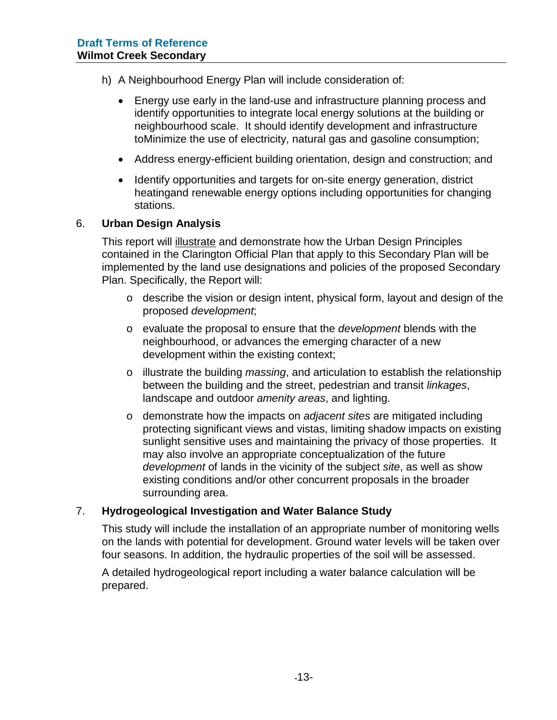- h) A Neighbourhood Energy Plan will include consideration of:
	- Energy use early in the land-use and infrastructure planning process and identify opportunities to integrate local energy solutions at the building or neighbourhood scale. It should identify development and infrastructure toMinimize the use of electricity, natural gas and gasoline consumption;
	- Address energy-efficient building orientation, design and construction; and
	- Identify opportunities and targets for on-site energy generation, district heatingand renewable energy options including opportunities for changing stations.

#### 6. **Urban Design Analysis**

This report will illustrate and demonstrate how the Urban Design Principles contained in the Clarington Official Plan that apply to this Secondary Plan will be implemented by the land use designations and policies of the proposed Secondary Plan. Specifically, the Report will:

- o describe the vision or design intent, physical form, layout and design of the proposed *development*;
- o evaluate the proposal to ensure that the *development* blends with the neighbourhood, or advances the emerging character of a new development within the existing context;
- o illustrate the building *massing*, and articulation to establish the relationship between the building and the street, pedestrian and transit *linkages*, landscape and outdoor *amenity areas*, and lighting.
- o demonstrate how the impacts on *adjacent sites* are mitigated including protecting significant views and vistas, limiting shadow impacts on existing sunlight sensitive uses and maintaining the privacy of those properties. It may also involve an appropriate conceptualization of the future *development* of lands in the vicinity of the subject *site*, as well as show existing conditions and/or other concurrent proposals in the broader surrounding area.

#### 7. **Hydrogeological Investigation and Water Balance Study**

This study will include the installation of an appropriate number of monitoring wells on the lands with potential for development. Ground water levels will be taken over four seasons. In addition, the hydraulic properties of the soil will be assessed.

A detailed hydrogeological report including a water balance calculation will be prepared.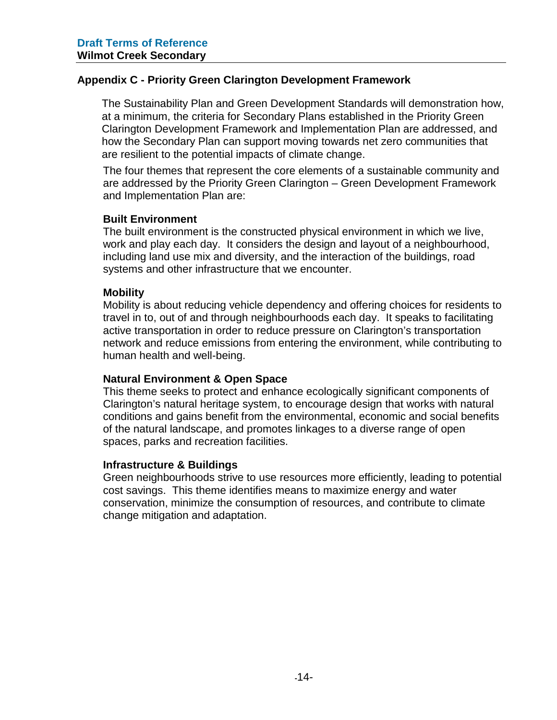#### **Appendix C - Priority Green Clarington Development Framework**

The Sustainability Plan and Green Development Standards will demonstration how, at a minimum, the criteria for Secondary Plans established in the Priority Green Clarington Development Framework and Implementation Plan are addressed, and how the Secondary Plan can support moving towards net zero communities that are resilient to the potential impacts of climate change.

The four themes that represent the core elements of a sustainable community and are addressed by the Priority Green Clarington – Green Development Framework and Implementation Plan are:

#### **Built Environment**

The built environment is the constructed physical environment in which we live, work and play each day. It considers the design and layout of a neighbourhood, including land use mix and diversity, and the interaction of the buildings, road systems and other infrastructure that we encounter.

#### **Mobility**

Mobility is about reducing vehicle dependency and offering choices for residents to travel in to, out of and through neighbourhoods each day. It speaks to facilitating active transportation in order to reduce pressure on Clarington's transportation network and reduce emissions from entering the environment, while contributing to human health and well-being.

#### **Natural Environment & Open Space**

This theme seeks to protect and enhance ecologically significant components of Clarington's natural heritage system, to encourage design that works with natural conditions and gains benefit from the environmental, economic and social benefits of the natural landscape, and promotes linkages to a diverse range of open spaces, parks and recreation facilities.

#### **Infrastructure & Buildings**

Green neighbourhoods strive to use resources more efficiently, leading to potential cost savings. This theme identifies means to maximize energy and water conservation, minimize the consumption of resources, and contribute to climate change mitigation and adaptation.